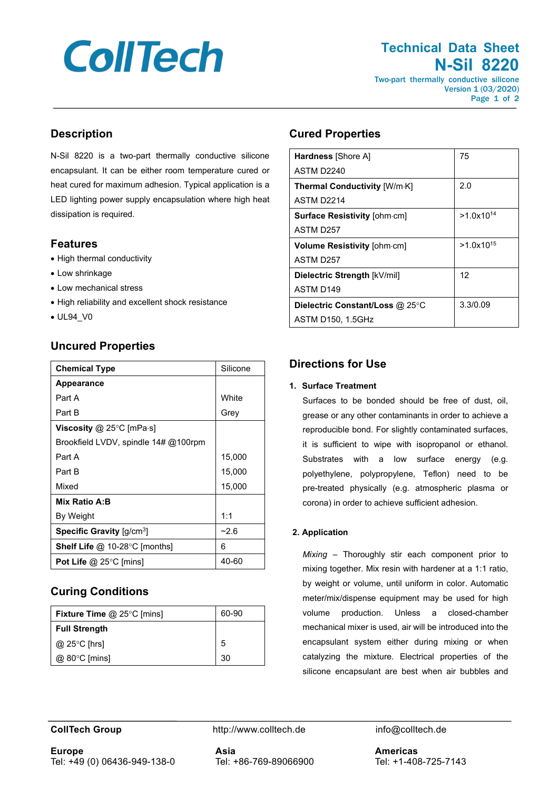# **CollTech**

# **Technical Data Sheet N-Sil 8220** Two-part thermally conductive silicone

Version 1 (03/2020) Page 1 of 2

# **Description**

N-Sil 8220 is a two-part thermally conductive silicone encapsulant. It can be either room temperature cured or heat cured for maximum adhesion. Typical application is a LED lighting power supply encapsulation where high heat dissipation is required.

#### **Features**

- High thermal conductivity
- Low shrinkage
- Low mechanical stress
- High reliability and excellent shock resistance
- UL94\_V0

## **Uncured Properties**

| <b>Chemical Type</b>                                  | Silicone |
|-------------------------------------------------------|----------|
| <b>Appearance</b>                                     |          |
| Part A                                                | White    |
| Part B                                                | Grey     |
| Viscosity $@$ 25°C [mPa $\cdot$ s]                    |          |
| Brookfield LVDV, spindle 14# @100rpm                  |          |
| Part A                                                | 15,000   |
| Part B                                                | 15,000   |
| Mixed                                                 | 15,000   |
| Mix Ratio A:B                                         |          |
| By Weight                                             | 1:1      |
| <b>Specific Gravity</b> $\left[\frac{q}{cm^3}\right]$ | $-2.6$   |
| <b>Shelf Life @ 10-28 °C [months]</b>                 | 6        |
| Pot Life $@$ 25 $°C$ [mins]                           | 40-60    |

## **Curing Conditions**

| <b>Fixture Time @ 25 °C [mins]</b> | 60-90 |
|------------------------------------|-------|
| <b>Full Strength</b>               |       |
| @ 25 $\degree$ C [hrs]             | 5     |
| $@.80°C$ [mins]                    | -30   |

#### **Cured Properties**

| <b>Hardness</b> [Shore A]           | 75             |
|-------------------------------------|----------------|
| ASTM D <sub>2240</sub>              |                |
| <b>Thermal Conductivity [W/m·K]</b> | 2.0            |
| ASTM D <sub>2214</sub>              |                |
| <b>Surface Resistivity [ohm.cm]</b> | $>1.0x10^{14}$ |
| ASTM D <sub>257</sub>               |                |
| Volume Resistivity [ohm-cm]         | $>1.0x10^{15}$ |
| ASTM D257                           |                |
| Dielectric Strength [kV/mil]        | 12             |
| ASTM D <sub>149</sub>               |                |
| Dielectric Constant/Loss @ 25°C     | 3.3/0.09       |
| <b>ASTM D150, 1.5GHz</b>            |                |

## **Directions for Use**

#### **1. Surface Treatment**

Surfaces to be bonded should be free of dust, oil, grease or any other contaminants in order to achieve a reproducible bond. For slightly contaminated surfaces, it is sufficient to wipe with isopropanol or ethanol. Substrates with a low surface energy (e.g. polyethylene, polypropylene, Teflon) need to be pre-treated physically (e.g. atmospheric plasma or corona) in order to achieve sufficient adhesion.

#### **2. Application**

*Mixing* – Thoroughly stir each component prior to mixing together. Mix resin with hardener at a 1:1 ratio, by weight or volume, until uniform in color. Automatic meter/mix/dispense equipment may be used for high volume production. Unless a closed-chamber mechanical mixer is used, air will be introduced into the encapsulant system either during mixing or when catalyzing the mixture. Electrical properties of the silicone encapsulant are best when air bubbles and

**CollTech Group http://www.colltech.de** info@colltech.de

**Europe** Tel: +49 (0) 06436-949-138-0 **Asia** Tel: +86-769-89066900

**Americas** Tel: +1-408-725-7143